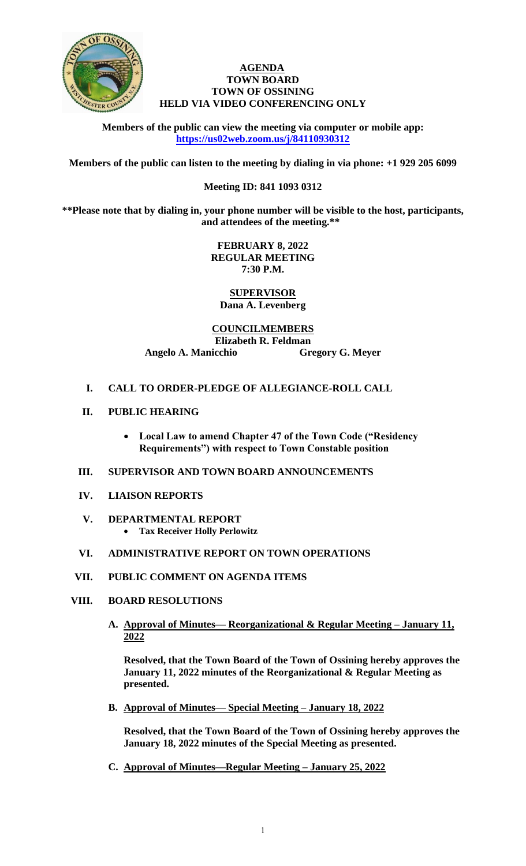

### **AGENDA TOWN BOARD TOWN OF OSSINING HELD VIA VIDEO CONFERENCING ONLY**

**Members of the public can view the meeting via computer or mobile app: <https://us02web.zoom.us/j/84110930312>**

**Members of the public can listen to the meeting by dialing in via phone: +1 929 205 6099** 

# **Meeting ID: 841 1093 0312**

**\*\*Please note that by dialing in, your phone number will be visible to the host, participants, and attendees of the meeting.\*\*** 

> **FEBRUARY 8, 2022 REGULAR MEETING 7:30 P.M.**

**SUPERVISOR Dana A. Levenberg**

**COUNCILMEMBERS Elizabeth R. Feldman Angelo A. Manicchio Gregory G. Meyer**

# **I. CALL TO ORDER-PLEDGE OF ALLEGIANCE-ROLL CALL**

- **II. PUBLIC HEARING**
	- **Local Law to amend Chapter 47 of the Town Code ("Residency Requirements") with respect to Town Constable position**

## **III. SUPERVISOR AND TOWN BOARD ANNOUNCEMENTS**

- **IV. LIAISON REPORTS**
- **V. DEPARTMENTAL REPORT Tax Receiver Holly Perlowitz**

### **VI. ADMINISTRATIVE REPORT ON TOWN OPERATIONS**

- **VII. PUBLIC COMMENT ON AGENDA ITEMS**
- **VIII. BOARD RESOLUTIONS**
	- **A. Approval of Minutes— Reorganizational & Regular Meeting – January 11, 2022**

**Resolved, that the Town Board of the Town of Ossining hereby approves the January 11, 2022 minutes of the Reorganizational & Regular Meeting as presented.**

**B. Approval of Minutes— Special Meeting – January 18, 2022**

**Resolved, that the Town Board of the Town of Ossining hereby approves the January 18, 2022 minutes of the Special Meeting as presented.**

**C. Approval of Minutes—Regular Meeting – January 25, 2022**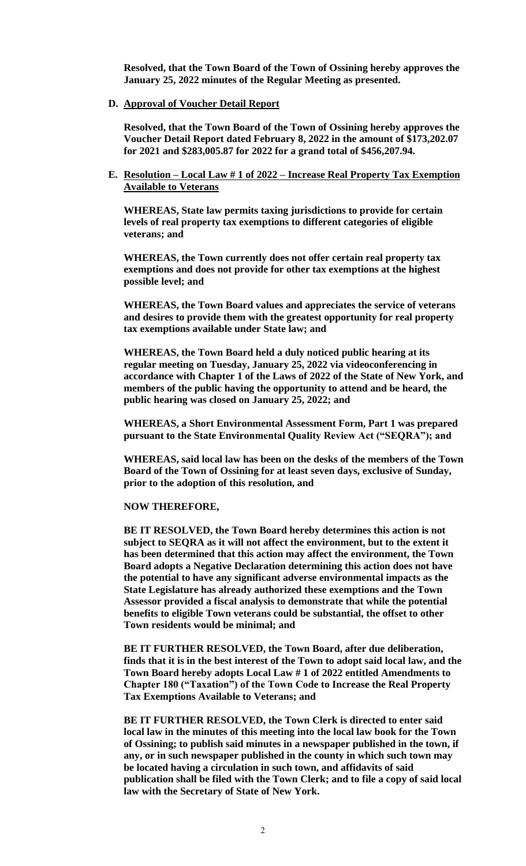**Resolved, that the Town Board of the Town of Ossining hereby approves the January 25, 2022 minutes of the Regular Meeting as presented.**

**D. Approval of Voucher Detail Report**

**Resolved, that the Town Board of the Town of Ossining hereby approves the Voucher Detail Report dated February 8, 2022 in the amount of \$173,202.07 for 2021 and \$283,005.87 for 2022 for a grand total of \$456,207.94.**

**E. Resolution – Local Law # 1 of 2022 – Increase Real Property Tax Exemption Available to Veterans**

**WHEREAS, State law permits taxing jurisdictions to provide for certain levels of real property tax exemptions to different categories of eligible veterans; and**

**WHEREAS, the Town currently does not offer certain real property tax exemptions and does not provide for other tax exemptions at the highest possible level; and**

**WHEREAS, the Town Board values and appreciates the service of veterans and desires to provide them with the greatest opportunity for real property tax exemptions available under State law; and**

**WHEREAS, the Town Board held a duly noticed public hearing at its regular meeting on Tuesday, January 25, 2022 via videoconferencing in accordance with Chapter 1 of the Laws of 2022 of the State of New York, and members of the public having the opportunity to attend and be heard, the public hearing was closed on January 25, 2022; and**

**WHEREAS, a Short Environmental Assessment Form, Part 1 was prepared pursuant to the State Environmental Quality Review Act ("SEQRA"); and**

**WHEREAS, said local law has been on the desks of the members of the Town Board of the Town of Ossining for at least seven days, exclusive of Sunday, prior to the adoption of this resolution, and**

#### **NOW THEREFORE,**

**BE IT RESOLVED, the Town Board hereby determines this action is not subject to SEQRA as it will not affect the environment, but to the extent it has been determined that this action may affect the environment, the Town Board adopts a Negative Declaration determining this action does not have the potential to have any significant adverse environmental impacts as the State Legislature has already authorized these exemptions and the Town Assessor provided a fiscal analysis to demonstrate that while the potential benefits to eligible Town veterans could be substantial, the offset to other Town residents would be minimal; and**

**BE IT FURTHER RESOLVED, the Town Board, after due deliberation, finds that it is in the best interest of the Town to adopt said local law, and the Town Board hereby adopts Local Law # 1 of 2022 entitled Amendments to Chapter 180 ("Taxation") of the Town Code to Increase the Real Property Tax Exemptions Available to Veterans; and** 

**BE IT FURTHER RESOLVED, the Town Clerk is directed to enter said local law in the minutes of this meeting into the local law book for the Town of Ossining; to publish said minutes in a newspaper published in the town, if any, or in such newspaper published in the county in which such town may be located having a circulation in such town, and affidavits of said publication shall be filed with the Town Clerk; and to file a copy of said local law with the Secretary of State of New York.**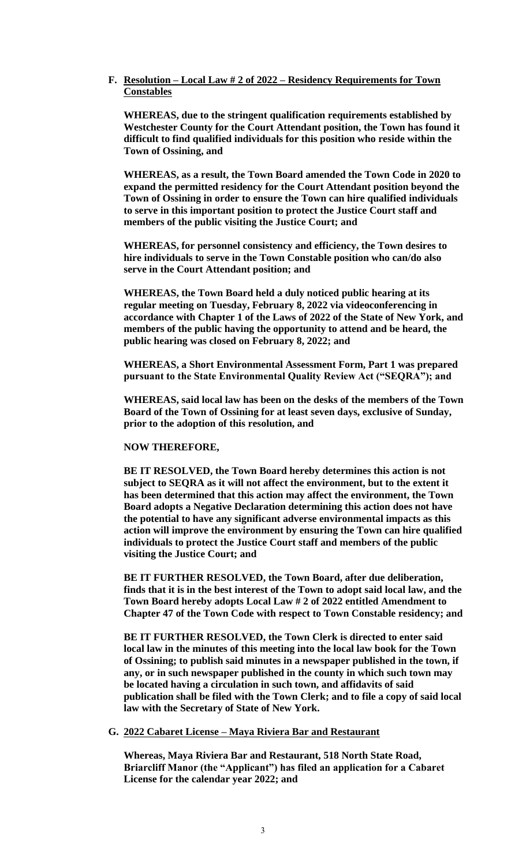### **F. Resolution – Local Law # 2 of 2022 – Residency Requirements for Town Constables**

**WHEREAS, due to the stringent qualification requirements established by Westchester County for the Court Attendant position, the Town has found it difficult to find qualified individuals for this position who reside within the Town of Ossining, and**

**WHEREAS, as a result, the Town Board amended the Town Code in 2020 to expand the permitted residency for the Court Attendant position beyond the Town of Ossining in order to ensure the Town can hire qualified individuals to serve in this important position to protect the Justice Court staff and members of the public visiting the Justice Court; and**

**WHEREAS, for personnel consistency and efficiency, the Town desires to hire individuals to serve in the Town Constable position who can/do also serve in the Court Attendant position; and**

**WHEREAS, the Town Board held a duly noticed public hearing at its regular meeting on Tuesday, February 8, 2022 via videoconferencing in accordance with Chapter 1 of the Laws of 2022 of the State of New York, and members of the public having the opportunity to attend and be heard, the public hearing was closed on February 8, 2022; and**

**WHEREAS, a Short Environmental Assessment Form, Part 1 was prepared pursuant to the State Environmental Quality Review Act ("SEQRA"); and**

**WHEREAS, said local law has been on the desks of the members of the Town Board of the Town of Ossining for at least seven days, exclusive of Sunday, prior to the adoption of this resolution, and**

#### **NOW THEREFORE,**

**BE IT RESOLVED, the Town Board hereby determines this action is not subject to SEQRA as it will not affect the environment, but to the extent it has been determined that this action may affect the environment, the Town Board adopts a Negative Declaration determining this action does not have the potential to have any significant adverse environmental impacts as this action will improve the environment by ensuring the Town can hire qualified individuals to protect the Justice Court staff and members of the public visiting the Justice Court; and**

**BE IT FURTHER RESOLVED, the Town Board, after due deliberation, finds that it is in the best interest of the Town to adopt said local law, and the Town Board hereby adopts Local Law # 2 of 2022 entitled Amendment to Chapter 47 of the Town Code with respect to Town Constable residency; and** 

**BE IT FURTHER RESOLVED, the Town Clerk is directed to enter said local law in the minutes of this meeting into the local law book for the Town of Ossining; to publish said minutes in a newspaper published in the town, if any, or in such newspaper published in the county in which such town may be located having a circulation in such town, and affidavits of said publication shall be filed with the Town Clerk; and to file a copy of said local law with the Secretary of State of New York.**

#### **G. 2022 Cabaret License – Maya Riviera Bar and Restaurant**

**Whereas, Maya Riviera Bar and Restaurant, 518 North State Road, Briarcliff Manor (the "Applicant") has filed an application for a Cabaret License for the calendar year 2022; and**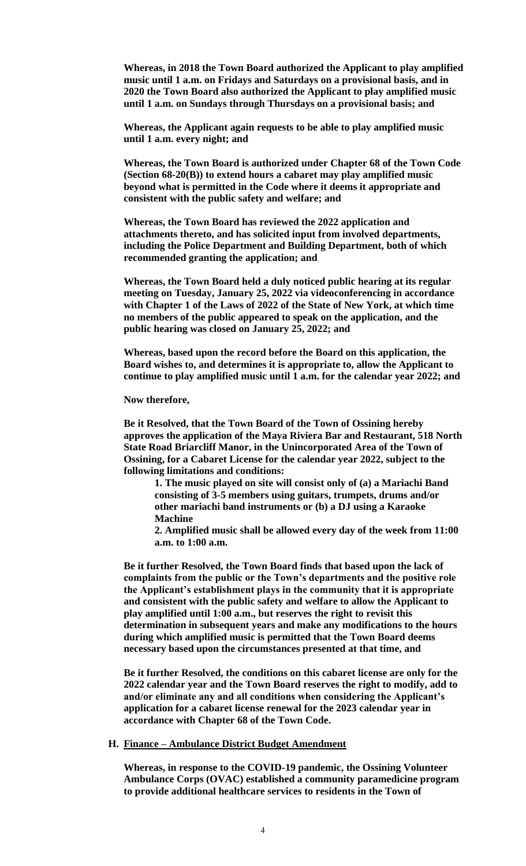**Whereas, in 2018 the Town Board authorized the Applicant to play amplified music until 1 a.m. on Fridays and Saturdays on a provisional basis, and in 2020 the Town Board also authorized the Applicant to play amplified music until 1 a.m. on Sundays through Thursdays on a provisional basis; and**

**Whereas, the Applicant again requests to be able to play amplified music until 1 a.m. every night; and**

**Whereas, the Town Board is authorized under Chapter 68 of the Town Code (Section 68-20(B)) to extend hours a cabaret may play amplified music beyond what is permitted in the Code where it deems it appropriate and consistent with the public safety and welfare; and**

**Whereas, the Town Board has reviewed the 2022 application and attachments thereto, and has solicited input from involved departments, including the Police Department and Building Department, both of which recommended granting the application; and**

**Whereas, the Town Board held a duly noticed public hearing at its regular meeting on Tuesday, January 25, 2022 via videoconferencing in accordance with Chapter 1 of the Laws of 2022 of the State of New York, at which time no members of the public appeared to speak on the application, and the public hearing was closed on January 25, 2022; and**

**Whereas, based upon the record before the Board on this application, the Board wishes to, and determines it is appropriate to, allow the Applicant to continue to play amplified music until 1 a.m. for the calendar year 2022; and**

**Now therefore,** 

**Be it Resolved, that the Town Board of the Town of Ossining hereby approves the application of the Maya Riviera Bar and Restaurant, 518 North State Road Briarcliff Manor, in the Unincorporated Area of the Town of Ossining, for a Cabaret License for the calendar year 2022, subject to the following limitations and conditions:** 

**1. The music played on site will consist only of (a) a Mariachi Band consisting of 3-5 members using guitars, trumpets, drums and/or other mariachi band instruments or (b) a DJ using a Karaoke Machine** 

**2. Amplified music shall be allowed every day of the week from 11:00 a.m. to 1:00 a.m.**

**Be it further Resolved, the Town Board finds that based upon the lack of complaints from the public or the Town's departments and the positive role the Applicant's establishment plays in the community that it is appropriate and consistent with the public safety and welfare to allow the Applicant to play amplified until 1:00 a.m., but reserves the right to revisit this determination in subsequent years and make any modifications to the hours during which amplified music is permitted that the Town Board deems necessary based upon the circumstances presented at that time, and**

**Be it further Resolved, the conditions on this cabaret license are only for the 2022 calendar year and the Town Board reserves the right to modify, add to and/or eliminate any and all conditions when considering the Applicant's application for a cabaret license renewal for the 2023 calendar year in accordance with Chapter 68 of the Town Code.**

#### **H. Finance – Ambulance District Budget Amendment**

**Whereas, in response to the COVID-19 pandemic, the Ossining Volunteer Ambulance Corps (OVAC) established a community paramedicine program to provide additional healthcare services to residents in the Town of**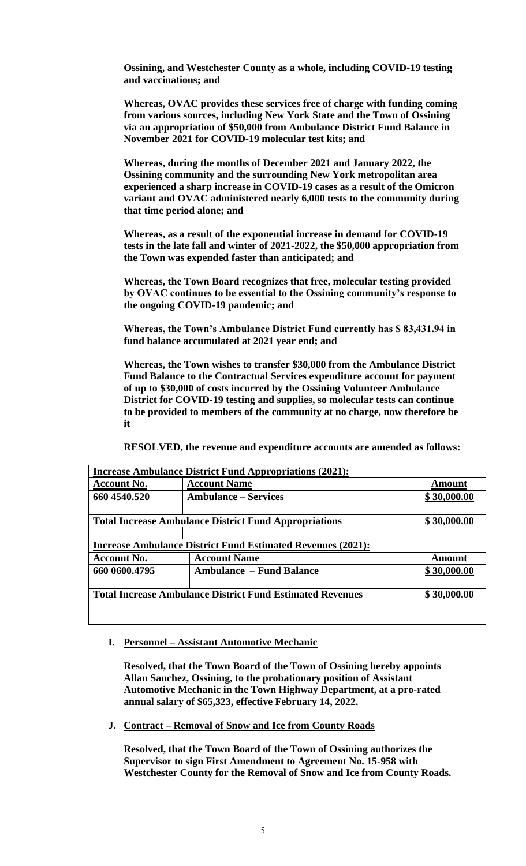**Ossining, and Westchester County as a whole, including COVID-19 testing and vaccinations; and**

**Whereas, OVAC provides these services free of charge with funding coming from various sources, including New York State and the Town of Ossining via an appropriation of \$50,000 from Ambulance District Fund Balance in November 2021 for COVID-19 molecular test kits; and** 

**Whereas, during the months of December 2021 and January 2022, the Ossining community and the surrounding New York metropolitan area experienced a sharp increase in COVID-19 cases as a result of the Omicron variant and OVAC administered nearly 6,000 tests to the community during that time period alone; and** 

**Whereas, as a result of the exponential increase in demand for COVID-19 tests in the late fall and winter of 2021-2022, the \$50,000 appropriation from the Town was expended faster than anticipated; and**

**Whereas, the Town Board recognizes that free, molecular testing provided by OVAC continues to be essential to the Ossining community's response to the ongoing COVID-19 pandemic; and** 

**Whereas, the Town's Ambulance District Fund currently has \$ 83,431.94 in fund balance accumulated at 2021 year end; and**

**Whereas, the Town wishes to transfer \$30,000 from the Ambulance District Fund Balance to the Contractual Services expenditure account for payment of up to \$30,000 of costs incurred by the Ossining Volunteer Ambulance District for COVID-19 testing and supplies, so molecular tests can continue to be provided to members of the community at no charge, now therefore be it**

| <b>Increase Ambulance District Fund Appropriations (2021):</b>     |                                 |               |
|--------------------------------------------------------------------|---------------------------------|---------------|
| <b>Account No.</b>                                                 | <b>Account Name</b>             | <b>Amount</b> |
| 660 4540.520                                                       | <b>Ambulance – Services</b>     | \$30,000.00   |
|                                                                    |                                 |               |
| <b>Total Increase Ambulance District Fund Appropriations</b>       |                                 | \$30,000.00   |
|                                                                    |                                 |               |
| <b>Increase Ambulance District Fund Estimated Revenues (2021):</b> |                                 |               |
| <b>Account No.</b>                                                 | <b>Account Name</b>             | <b>Amount</b> |
| 660 0600.4795                                                      | <b>Ambulance – Fund Balance</b> | \$30,000.00   |
|                                                                    |                                 |               |
| <b>Total Increase Ambulance District Fund Estimated Revenues</b>   |                                 | \$30,000.00   |
|                                                                    |                                 |               |
|                                                                    |                                 |               |

**RESOLVED, the revenue and expenditure accounts are amended as follows:**

#### **I. Personnel – Assistant Automotive Mechanic**

**Resolved, that the Town Board of the Town of Ossining hereby appoints Allan Sanchez, Ossining, to the probationary position of Assistant Automotive Mechanic in the Town Highway Department, at a pro-rated annual salary of \$65,323, effective February 14, 2022.** 

**J. Contract – Removal of Snow and Ice from County Roads**

**Resolved, that the Town Board of the Town of Ossining authorizes the Supervisor to sign First Amendment to Agreement No. 15-958 with Westchester County for the Removal of Snow and Ice from County Roads.**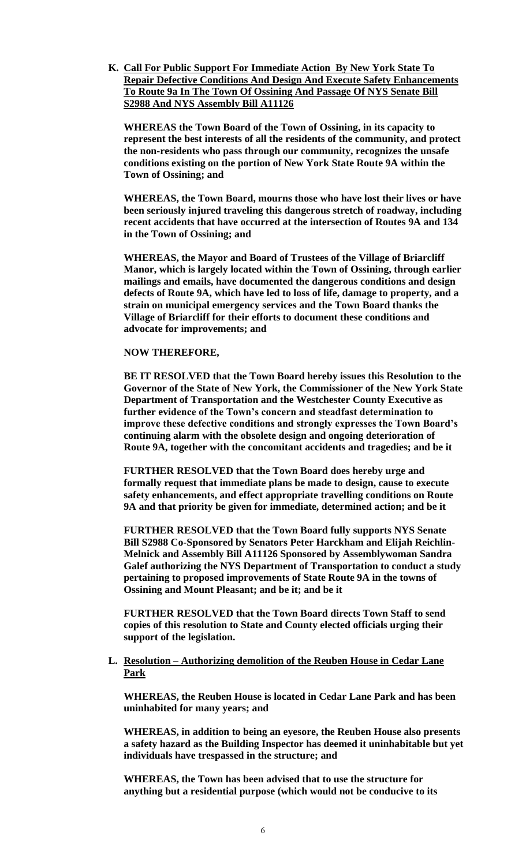**K. Call For Public Support For Immediate Action By New York State To Repair Defective Conditions And Design And Execute Safety Enhancements To Route 9a In The Town Of Ossining And Passage Of NYS Senate Bill S2988 And NYS Assembly Bill A11126**

**WHEREAS the Town Board of the Town of Ossining, in its capacity to represent the best interests of all the residents of the community, and protect the non-residents who pass through our community, recognizes the unsafe conditions existing on the portion of New York State Route 9A within the Town of Ossining; and**

**WHEREAS, the Town Board, mourns those who have lost their lives or have been seriously injured traveling this dangerous stretch of roadway, including recent accidents that have occurred at the intersection of Routes 9A and 134 in the Town of Ossining; and**

**WHEREAS, the Mayor and Board of Trustees of the Village of Briarcliff Manor, which is largely located within the Town of Ossining, through earlier mailings and emails, have documented the dangerous conditions and design defects of Route 9A, which have led to loss of life, damage to property, and a strain on municipal emergency services and the Town Board thanks the Village of Briarcliff for their efforts to document these conditions and advocate for improvements; and**

### **NOW THEREFORE,**

**BE IT RESOLVED that the Town Board hereby issues this Resolution to the Governor of the State of New York, the Commissioner of the New York State Department of Transportation and the Westchester County Executive as further evidence of the Town's concern and steadfast determination to improve these defective conditions and strongly expresses the Town Board's continuing alarm with the obsolete design and ongoing deterioration of Route 9A, together with the concomitant accidents and tragedies; and be it** 

**FURTHER RESOLVED that the Town Board does hereby urge and formally request that immediate plans be made to design, cause to execute safety enhancements, and effect appropriate travelling conditions on Route 9A and that priority be given for immediate, determined action; and be it**

**FURTHER RESOLVED that the Town Board fully supports NYS Senate Bill S2988 Co-Sponsored by Senators Peter Harckham and Elijah Reichlin-Melnick and Assembly Bill A11126 Sponsored by Assemblywoman Sandra Galef authorizing the NYS Department of Transportation to conduct a study pertaining to proposed improvements of State Route 9A in the towns of Ossining and Mount Pleasant; and be it; and be it** 

**FURTHER RESOLVED that the Town Board directs Town Staff to send copies of this resolution to State and County elected officials urging their support of the legislation.**

### **L. Resolution – Authorizing demolition of the Reuben House in Cedar Lane Park**

**WHEREAS, the Reuben House is located in Cedar Lane Park and has been uninhabited for many years; and**

**WHEREAS, in addition to being an eyesore, the Reuben House also presents a safety hazard as the Building Inspector has deemed it uninhabitable but yet individuals have trespassed in the structure; and**

**WHEREAS, the Town has been advised that to use the structure for anything but a residential purpose (which would not be conducive to its**